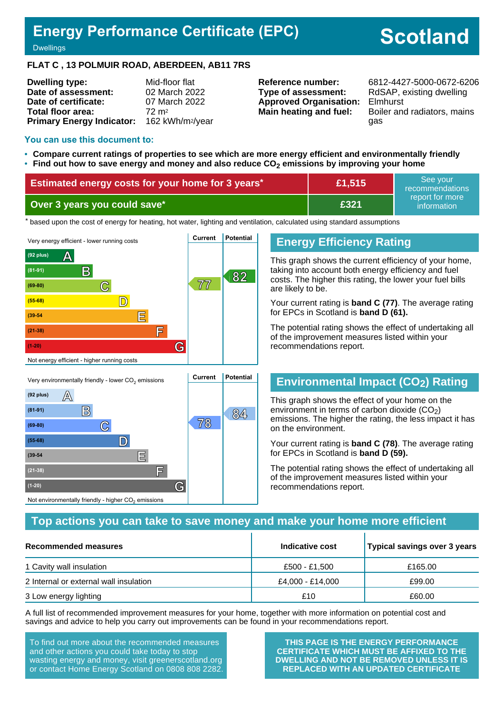# **Energy Performance Certificate (EPC)**

# **Scotland**

**Dwellings** 

#### **FLAT C , 13 POLMUIR ROAD, ABERDEEN, AB11 7RS**

| <b>Dwelling type:</b>            | Mid-floor flat               |
|----------------------------------|------------------------------|
| Date of assessment:              | 02 March 2022                |
| Date of certificate:             | 07 March 2022                |
| Total floor area:                | $72 \text{ m}^2$             |
| <b>Primary Energy Indicator:</b> | 162 kWh/m <sup>2</sup> /year |

**Type of assessment:** RdSAP, existing dwelling **Approved Organisation:** Elmhurst

**Reference number:** 6812-4427-5000-0672-6206 **Main heating and fuel:** Boiler and radiators, mains gas

#### **You can use this document to:**

- **Compare current ratings of properties to see which are more energy efficient and environmentally friendly**
- **Find out how to save energy and money and also reduce CO2 emissions by improving your home**

| Estimated energy costs for your home for 3 years* | £1,515 | See vour<br>recommendations    |
|---------------------------------------------------|--------|--------------------------------|
| Over 3 years you could save*                      | £321   | report for more<br>information |

the based upon the cost of energy for heating, hot water, lighting and ventilation, calculated using standard assumptions



**B 84 (81-91)**

**(69-80) C 78**

**(55-68) D**

**(39-54 E**

**(21-38) F**

Not environmentally friendly - higher  $\mathrm{CO}_2$  emissions

**(1-20) G**

#### **Energy Efficiency Rating**

This graph shows the current efficiency of your home, taking into account both energy efficiency and fuel costs. The higher this rating, the lower your fuel bills are likely to be.

Your current rating is **band C (77)**. The average rating for EPCs in Scotland is **band D (61).**

The potential rating shows the effect of undertaking all of the improvement measures listed within your recommendations report.

# **Environmental Impact (CO2) Rating**

This graph shows the effect of your home on the environment in terms of carbon dioxide  $(CO<sub>2</sub>)$ emissions. The higher the rating, the less impact it has on the environment.

Your current rating is **band C (78)**. The average rating for EPCs in Scotland is **band D (59).**

The potential rating shows the effect of undertaking all of the improvement measures listed within your recommendations report.

#### **Top actions you can take to save money and make your home more efficient**

| Recommended measures                   | Indicative cost  | Typical savings over 3 years |
|----------------------------------------|------------------|------------------------------|
| 1 Cavity wall insulation               | £500 - £1.500    | £165.00                      |
| 2 Internal or external wall insulation | £4,000 - £14,000 | £99.00                       |
| 3 Low energy lighting                  | £10              | £60.00                       |

A full list of recommended improvement measures for your home, together with more information on potential cost and savings and advice to help you carry out improvements can be found in your recommendations report.

To find out more about the recommended measures and other actions you could take today to stop wasting energy and money, visit greenerscotland.org or contact Home Energy Scotland on 0808 808 2282.

**THIS PAGE IS THE ENERGY PERFORMANCE CERTIFICATE WHICH MUST BE AFFIXED TO THE DWELLING AND NOT BE REMOVED UNLESS IT IS REPLACED WITH AN UPDATED CERTIFICATE**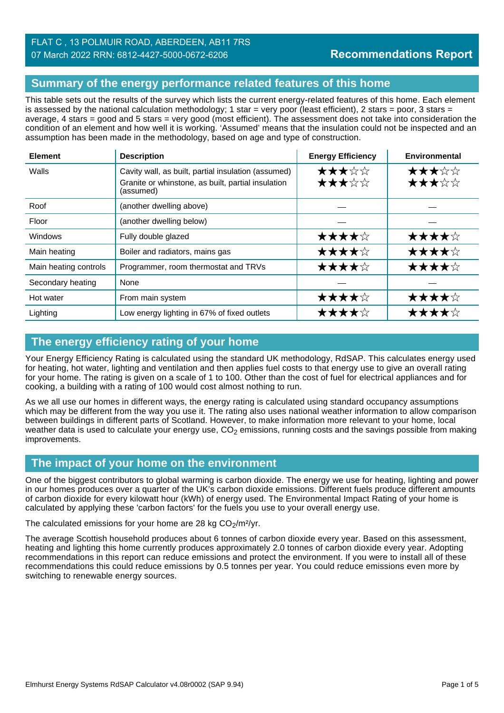# **Summary of the energy performance related features of this home**

This table sets out the results of the survey which lists the current energy-related features of this home. Each element is assessed by the national calculation methodology; 1 star = very poor (least efficient), 2 stars = poor, 3 stars = average, 4 stars = good and 5 stars = very good (most efficient). The assessment does not take into consideration the condition of an element and how well it is working. 'Assumed' means that the insulation could not be inspected and an assumption has been made in the methodology, based on age and type of construction.

| <b>Element</b>        | <b>Description</b>                                              | <b>Energy Efficiency</b> | Environmental  |
|-----------------------|-----------------------------------------------------------------|--------------------------|----------------|
| Walls                 | Cavity wall, as built, partial insulation (assumed)             | ★★★☆☆<br>★★★☆☆           | ★★★☆☆<br>★★★☆☆ |
|                       | Granite or whinstone, as built, partial insulation<br>(assumed) |                          |                |
| Roof                  | (another dwelling above)                                        |                          |                |
| Floor                 | (another dwelling below)                                        |                          |                |
| Windows               | Fully double glazed                                             | ★★★★☆                    | ★★★★☆          |
| Main heating          | Boiler and radiators, mains gas                                 | ★★★★☆                    | ★★★★☆          |
| Main heating controls | Programmer, room thermostat and TRVs                            | ★★★★☆                    | ★★★★☆          |
| Secondary heating     | None                                                            |                          |                |
| Hot water             | From main system                                                | ★★★★☆                    | ★★★★☆          |
| Lighting              | Low energy lighting in 67% of fixed outlets                     | ★★★★☆                    | ★★★★☆          |

# **The energy efficiency rating of your home**

Your Energy Efficiency Rating is calculated using the standard UK methodology, RdSAP. This calculates energy used for heating, hot water, lighting and ventilation and then applies fuel costs to that energy use to give an overall rating for your home. The rating is given on a scale of 1 to 100. Other than the cost of fuel for electrical appliances and for cooking, a building with a rating of 100 would cost almost nothing to run.

As we all use our homes in different ways, the energy rating is calculated using standard occupancy assumptions which may be different from the way you use it. The rating also uses national weather information to allow comparison between buildings in different parts of Scotland. However, to make information more relevant to your home, local weather data is used to calculate your energy use,  $CO<sub>2</sub>$  emissions, running costs and the savings possible from making improvements.

# **The impact of your home on the environment**

One of the biggest contributors to global warming is carbon dioxide. The energy we use for heating, lighting and power in our homes produces over a quarter of the UK's carbon dioxide emissions. Different fuels produce different amounts of carbon dioxide for every kilowatt hour (kWh) of energy used. The Environmental Impact Rating of your home is calculated by applying these 'carbon factors' for the fuels you use to your overall energy use.

The calculated emissions for your home are 28 kg  $CO<sub>2</sub>/m<sup>2</sup>/yr$ .

The average Scottish household produces about 6 tonnes of carbon dioxide every year. Based on this assessment, heating and lighting this home currently produces approximately 2.0 tonnes of carbon dioxide every year. Adopting recommendations in this report can reduce emissions and protect the environment. If you were to install all of these recommendations this could reduce emissions by 0.5 tonnes per year. You could reduce emissions even more by switching to renewable energy sources.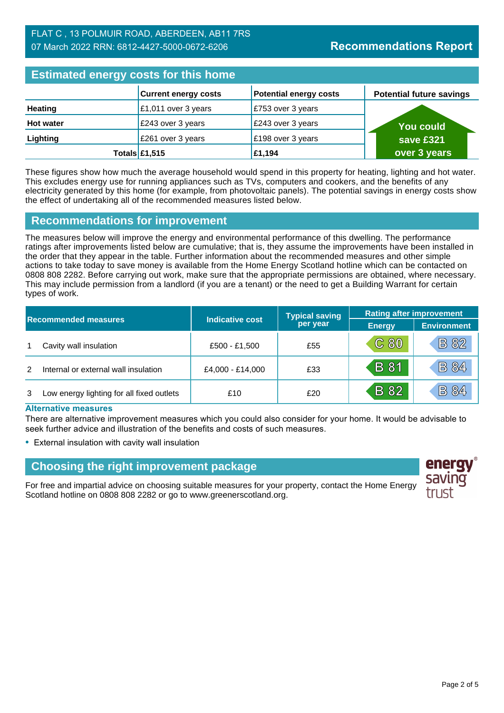#### FLAT C , 13 POLMUIR ROAD, ABERDEEN, AB11 7RS 07 March 2022 RRN: 6812-4427-5000-0672-6206

**You could save £321 over 3 years**

#### **Estimated energy costs for this home Current energy costs Potential energy costs Heating E1,011 over 3 years E753 over 3 years Hot water E243** over 3 years **E243** over 3 years **Potential future savings**

**Totals £1,515 £1,194**

**Lighting E261** over 3 years **E198** over 3 years

| These figures show how much the average household would spend in this property for heating, lighting and hot water.    |
|------------------------------------------------------------------------------------------------------------------------|
| This excludes energy use for running appliances such as TVs, computers and cookers, and the benefits of any            |
| electricity generated by this home (for example, from photovoltaic panels). The potential savings in energy costs show |
| the effect of undertaking all of the recommended measures listed below.                                                |

### **Recommendations for improvement**

The measures below will improve the energy and environmental performance of this dwelling. The performance ratings after improvements listed below are cumulative; that is, they assume the improvements have been installed in the order that they appear in the table. Further information about the recommended measures and other simple actions to take today to save money is available from the Home Energy Scotland hotline which can be contacted on 0808 808 2282. Before carrying out work, make sure that the appropriate permissions are obtained, where necessary. This may include permission from a landlord (if you are a tenant) or the need to get a Building Warrant for certain types of work.

| <b>Recommended measures</b> |                                           |                        | <b>Typical saving</b> | <b>Rating after improvement</b> |                    |
|-----------------------------|-------------------------------------------|------------------------|-----------------------|---------------------------------|--------------------|
|                             |                                           | <b>Indicative cost</b> | per year              | <b>Energy</b>                   | <b>Environment</b> |
| 1.                          | Cavity wall insulation                    | £500 - £1,500          | £55                   | C80                             | <b>B 82</b>        |
| $\mathcal{P}$               | Internal or external wall insulation      | £4,000 - £14,000       | £33                   | <b>B</b> 81                     | <b>B 84</b>        |
| 3                           | Low energy lighting for all fixed outlets | £10                    | £20                   | <b>B</b> 82                     | <b>B 84</b>        |

#### **Alternative measures**

There are alternative improvement measures which you could also consider for your home. It would be advisable to seek further advice and illustration of the benefits and costs of such measures.

• External insulation with cavity wall insulation

#### **Choosing the right improvement package**

For free and impartial advice on choosing suitable measures for your property, contact the Home Energy Scotland hotline on 0808 808 2282 or go to www.greenerscotland.org.

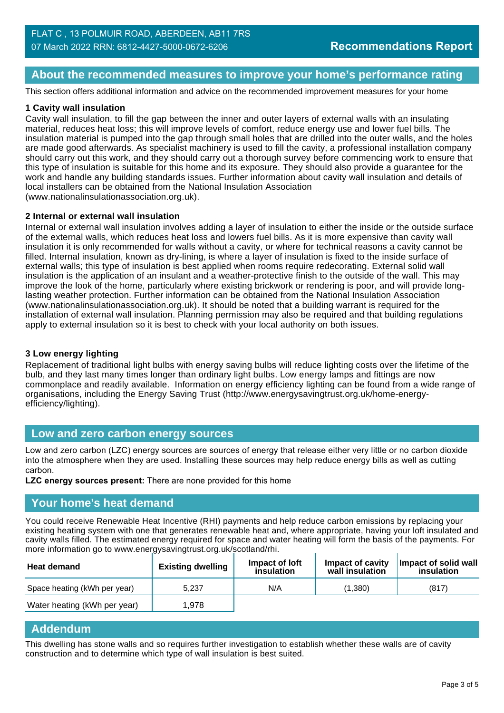### **About the recommended measures to improve your home's performance rating**

This section offers additional information and advice on the recommended improvement measures for your home

#### **1 Cavity wall insulation**

Cavity wall insulation, to fill the gap between the inner and outer layers of external walls with an insulating material, reduces heat loss; this will improve levels of comfort, reduce energy use and lower fuel bills. The insulation material is pumped into the gap through small holes that are drilled into the outer walls, and the holes are made good afterwards. As specialist machinery is used to fill the cavity, a professional installation company should carry out this work, and they should carry out a thorough survey before commencing work to ensure that this type of insulation is suitable for this home and its exposure. They should also provide a guarantee for the work and handle any building standards issues. Further information about cavity wall insulation and details of local installers can be obtained from the National Insulation Association (www.nationalinsulationassociation.org.uk).

#### **2 Internal or external wall insulation**

Internal or external wall insulation involves adding a layer of insulation to either the inside or the outside surface of the external walls, which reduces heat loss and lowers fuel bills. As it is more expensive than cavity wall insulation it is only recommended for walls without a cavity, or where for technical reasons a cavity cannot be filled. Internal insulation, known as dry-lining, is where a layer of insulation is fixed to the inside surface of external walls; this type of insulation is best applied when rooms require redecorating. External solid wall insulation is the application of an insulant and a weather-protective finish to the outside of the wall. This may improve the look of the home, particularly where existing brickwork or rendering is poor, and will provide longlasting weather protection. Further information can be obtained from the National Insulation Association (www.nationalinsulationassociation.org.uk). It should be noted that a building warrant is required for the installation of external wall insulation. Planning permission may also be required and that building regulations apply to external insulation so it is best to check with your local authority on both issues.

#### **3 Low energy lighting**

Replacement of traditional light bulbs with energy saving bulbs will reduce lighting costs over the lifetime of the bulb, and they last many times longer than ordinary light bulbs. Low energy lamps and fittings are now commonplace and readily available. Information on energy efficiency lighting can be found from a wide range of organisations, including the Energy Saving Trust (http://www.energysavingtrust.org.uk/home-energyefficiency/lighting).

#### **Low and zero carbon energy sources**

Low and zero carbon (LZC) energy sources are sources of energy that release either very little or no carbon dioxide into the atmosphere when they are used. Installing these sources may help reduce energy bills as well as cutting carbon.

**LZC energy sources present:** There are none provided for this home

#### **Your home's heat demand**

You could receive Renewable Heat Incentive (RHI) payments and help reduce carbon emissions by replacing your existing heating system with one that generates renewable heat and, where appropriate, having your loft insulated and cavity walls filled. The estimated energy required for space and water heating will form the basis of the payments. For more information go to www.energysavingtrust.org.uk/scotland/rhi.

| <b>Heat demand</b>           | <b>Existing dwelling</b> | Impact of loft<br>insulation | Impact of cavity<br>wall insulation | Impact of solid wall<br>insulation |
|------------------------------|--------------------------|------------------------------|-------------------------------------|------------------------------------|
| Space heating (kWh per year) | 5.237                    | N/A                          | (1.380)                             | (817)                              |
| Water heating (kWh per year) | 1.978                    |                              |                                     |                                    |

#### **Addendum**

This dwelling has stone walls and so requires further investigation to establish whether these walls are of cavity construction and to determine which type of wall insulation is best suited.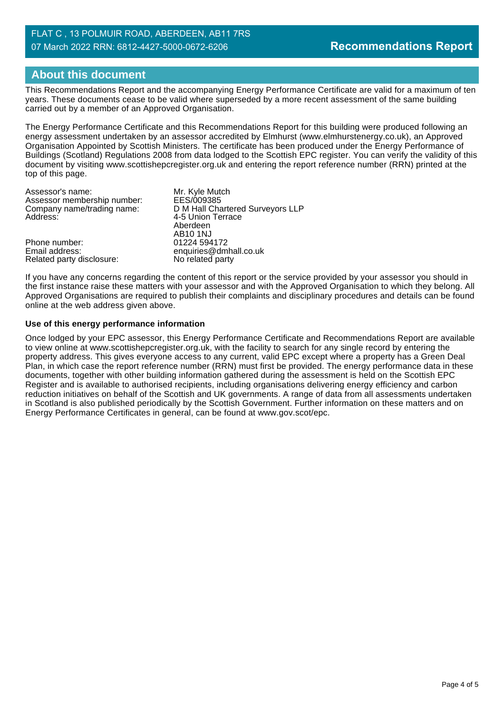#### FLAT C , 13 POLMUIR ROAD, ABERDEEN, AB11 7RS 07 March 2022 RRN: 6812-4427-5000-0672-6206

# **About this document**

This Recommendations Report and the accompanying Energy Performance Certificate are valid for a maximum of ten years. These documents cease to be valid where superseded by a more recent assessment of the same building carried out by a member of an Approved Organisation.

The Energy Performance Certificate and this Recommendations Report for this building were produced following an energy assessment undertaken by an assessor accredited by Elmhurst (www.elmhurstenergy.co.uk), an Approved Organisation Appointed by Scottish Ministers. The certificate has been produced under the Energy Performance of Buildings (Scotland) Regulations 2008 from data lodged to the Scottish EPC register. You can verify the validity of this document by visiting www.scottishepcregister.org.uk and entering the report reference number (RRN) printed at the top of this page.

| Assessor's name:            | Mr. Kyle Mutch                   |
|-----------------------------|----------------------------------|
| Assessor membership number: | EES/009385                       |
| Company name/trading name:  | D M Hall Chartered Surveyors LLP |
| Address:                    | 4-5 Union Terrace                |
|                             | Aberdeen                         |
|                             | <b>AB10 1NJ</b>                  |
| Phone number:               | 01224 594172                     |
| Email address:              | enquiries@dmhall.co.uk           |
| Related party disclosure:   | No related party                 |

If you have any concerns regarding the content of this report or the service provided by your assessor you should in the first instance raise these matters with your assessor and with the Approved Organisation to which they belong. All Approved Organisations are required to publish their complaints and disciplinary procedures and details can be found online at the web address given above.

#### **Use of this energy performance information**

Once lodged by your EPC assessor, this Energy Performance Certificate and Recommendations Report are available to view online at www.scottishepcregister.org.uk, with the facility to search for any single record by entering the property address. This gives everyone access to any current, valid EPC except where a property has a Green Deal Plan, in which case the report reference number (RRN) must first be provided. The energy performance data in these documents, together with other building information gathered during the assessment is held on the Scottish EPC Register and is available to authorised recipients, including organisations delivering energy efficiency and carbon reduction initiatives on behalf of the Scottish and UK governments. A range of data from all assessments undertaken in Scotland is also published periodically by the Scottish Government. Further information on these matters and on Energy Performance Certificates in general, can be found at www.gov.scot/epc.